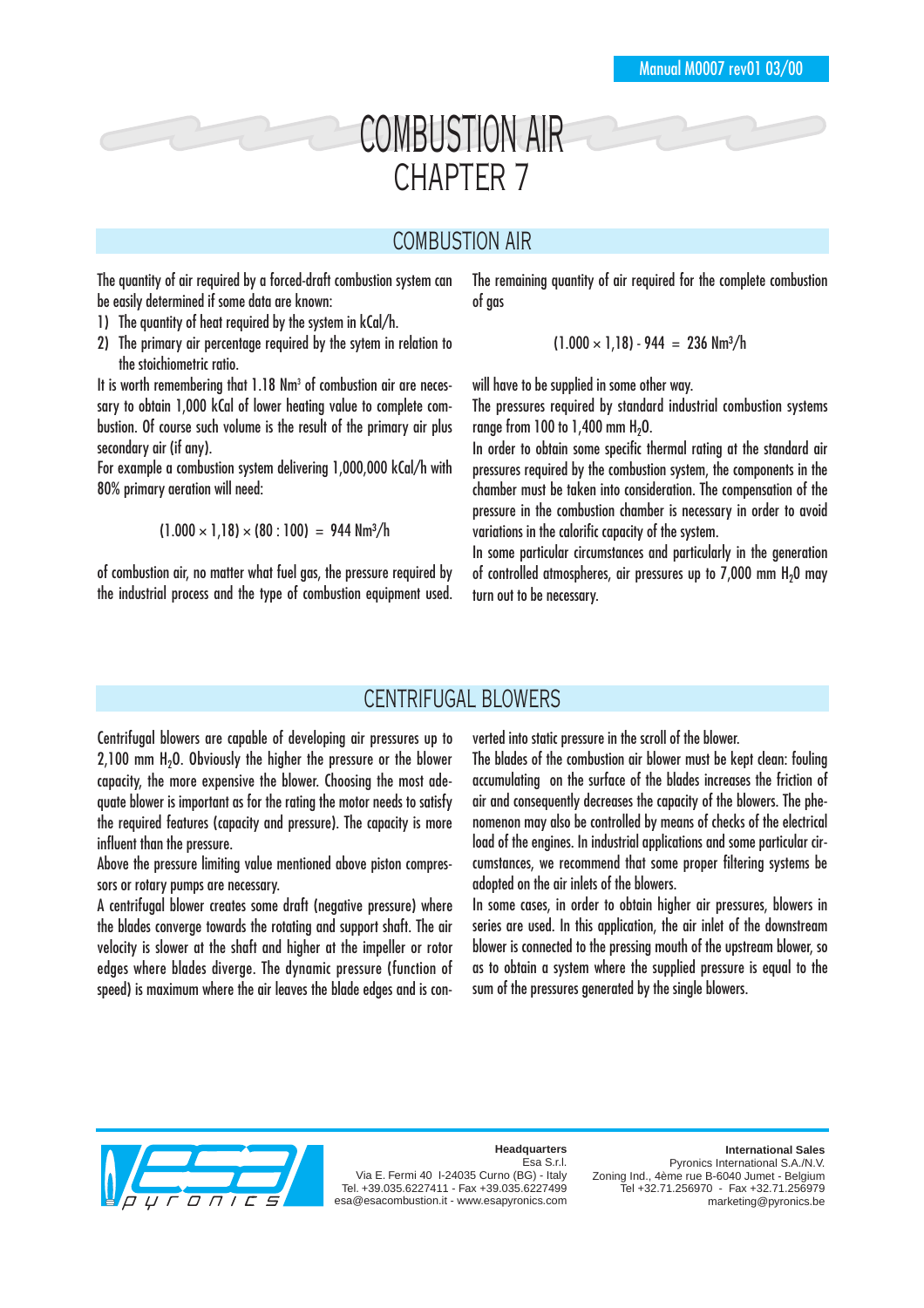# COMBUSTION AIR CHAPTER 7

# COMBUSTION AIR

The quantity of air required by a forced-draft combustion system can be easily determined if some data are known:

- 1) The quantity of heat required by the system in kCal/h.
- 2) The primary air percentage required by the sytem in relation to the stoichiometric ratio.

It is worth remembering that 1.18 Nm<sup>3</sup> of combustion air are necessary to obtain 1,000 kCal of lower heating value to complete combustion. Of course such volume is the result of the primary air plus secondary air (if any).

For example a combustion system delivering 1,000,000 kCal/h with 80% primary aeration will need:

 $(1.000 \times 1.18) \times (80 : 100) = 944$  Nm<sup>3</sup>/h

of combustion air, no matter what fuel gas, the pressure required by the industrial process and the type of combustion equipment used.

The remaining quantity of air required for the complete combustion of gas

 $(1.000 \times 1.18) - 944 = 236$  Nm<sup>3</sup>/h

will have to be supplied in some other way.

The pressures required by standard industrial combustion systems range from  $100$  to  $1.400$  mm  $H<sub>2</sub>O$ .

In order to obtain some specific thermal rating at the standard air pressures required by the combustion system, the components in the chamber must be taken into consideration. The compensation of the pressure in the combustion chamber is necessary in order to avoid variations in the calorific capacity of the system.

In some particular circumstances and particularly in the generation of controlled atmospheres, air pressures up to 7,000 mm H<sub>2</sub>0 may turn out to be necessary.

# CENTRIFUGAL BLOWERS

Centrifugal blowers are capable of developing air pressures up to  $2,100$  mm  $H<sub>2</sub>0$ . Obviously the higher the pressure or the blower capacity, the more expensive the blower. Choosing the most adequate blower is important as for the rating the motor needs to satisfy the required features (capacity and pressure). The capacity is more influent than the pressure.

Above the pressure limiting value mentioned above piston compressors or rotary pumps are necessary.

A centrifugal blower creates some draft (negative pressure) where the blades converge towards the rotating and support shaft. The air velocity is slower at the shaft and higher at the impeller or rotor edges where blades diverge. The dynamic pressure (function of speed) is maximum where the air leaves the blade edges and is converted into static pressure in the scroll of the blower.

The blades of the combustion air blower must be kept clean: fouling accumulating on the surface of the blades increases the friction of air and consequently decreases the capacity of the blowers. The phenomenon may also be controlled by means of checks of the electrical load of the engines. In industrial applications and some particular circumstances, we recommend that some proper filtering systems be adopted on the air inlets of the blowers.

In some cases, in order to obtain higher air pressures, blowers in series are used. In this application, the air inlet of the downstream blower is connected to the pressing mouth of the upstream blower, so as to obtain a system where the supplied pressure is equal to the sum of the pressures generated by the single blowers.



**Headquarters** Esa S.r.l.

Via E. Fermi 40 I-24035 Curno (BG) - Italy Tel. +39.035.6227411 - Fax +39.035.6227499 esa@esacombustion.it - www.esapyronics.com

#### **International Sales**

Pyronics International S.A./N.V. Zoning Ind., 4ème rue B-6040 Jumet - Belgium Tel +32.71.256970 - Fax +32.71.256979 marketing@pyronics.be